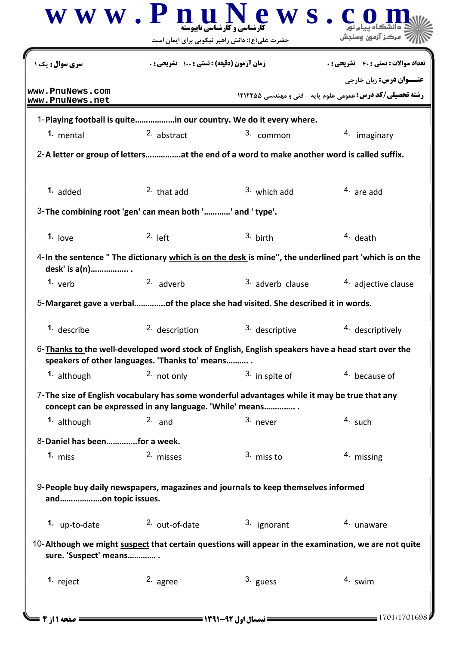|                                    | حضرت علی(ع): دانش راهبر نیکویی برای ایمان است                                     |                                                                                                        |                                                                                 |
|------------------------------------|-----------------------------------------------------------------------------------|--------------------------------------------------------------------------------------------------------|---------------------------------------------------------------------------------|
| <b>سری سوال:</b> یک ۱              | زمان آزمون (دقیقه) : تستی : 100 تشریحی : 0                                        |                                                                                                        | <b>تعداد سوالات : تستي : 40 ٪ تشريحي : .</b><br><b>عنـــوان درس:</b> زبان خارجي |
| www.PnuNews.com<br>www.PnuNews.net |                                                                                   |                                                                                                        | <b>رشته تحصیلی/کد درس:</b> عمومی علوم پایه - فنی و مهندسی ۱۲۱۲۲۵۵               |
|                                    |                                                                                   | 1-Playing football is quitein our country. We do it every where.                                       |                                                                                 |
| 1. mental                          | 2. abstract                                                                       | 3. common                                                                                              | 4. imaginary                                                                    |
|                                    |                                                                                   | 2-A letter or group of lettersat the end of a word to make another word is called suffix.              |                                                                                 |
| 1. added                           | $2.$ that add                                                                     | $3.$ which add                                                                                         | $4.$ are add                                                                    |
|                                    | 3-The combining root 'gen' can mean both '' and ' type'.                          |                                                                                                        |                                                                                 |
| 1. love                            | $2.$ left                                                                         | $3.$ birth                                                                                             | $4.$ death                                                                      |
| desk' is a(n)                      |                                                                                   | 4-In the sentence " The dictionary which is on the desk is mine", the underlined part 'which is on the |                                                                                 |
| 1. $verb$                          | 2. adverb                                                                         | 3. adverb clause                                                                                       | 4. adjective clause                                                             |
|                                    |                                                                                   | 5-Margaret gave a verbalof the place she had visited. She described it in words.                       |                                                                                 |
| 1. describe                        | 2. description                                                                    | 3. descriptive                                                                                         | 4. descriptively                                                                |
|                                    | speakers of other languages. 'Thanks to' means                                    | 6-Thanks to the well-developed word stock of English, English speakers have a head start over the      |                                                                                 |
| 1. although                        | 2. not only                                                                       | $3.$ in spite of                                                                                       | 4. because of                                                                   |
|                                    | concept can be expressed in any language. 'While' means                           | 7-The size of English vocabulary has some wonderful advantages while it may be true that any           |                                                                                 |
| 1. although                        | $2.$ and                                                                          | $3.$ never                                                                                             | $4.$ such                                                                       |
| 8-Daniel has beenfor a week.       |                                                                                   |                                                                                                        |                                                                                 |
|                                    | 2. misses                                                                         | 3. miss to                                                                                             | 4. missing                                                                      |
| 1. miss                            |                                                                                   |                                                                                                        |                                                                                 |
| andon topic issues.                | 9-People buy daily newspapers, magazines and journals to keep themselves informed |                                                                                                        |                                                                                 |
| 1. up-to-date                      | 2. out-of-date                                                                    | 3. ignorant                                                                                            | 4. unaware                                                                      |
| sure. 'Suspect' means              |                                                                                   | 10-Although we might suspect that certain questions will appear in the examination, we are not quite   |                                                                                 |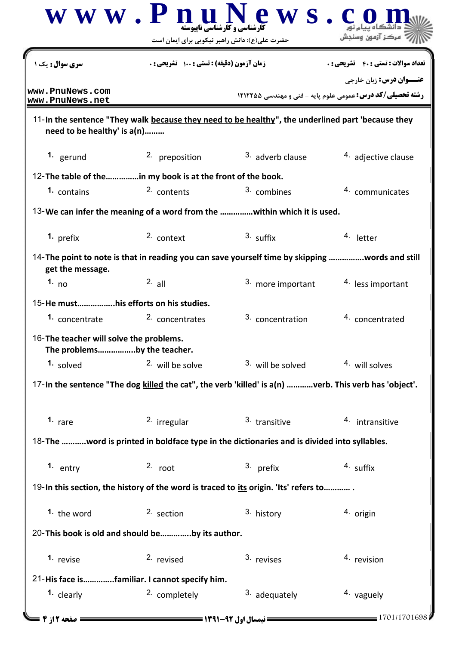|                                                                        | $\bf W \, \bf W \cdot \bf P \, \bf n$ ارشنامی و کار شناسی ناپیوسته<br>ews.<br>حضرت علی(ع): دانش راهبر نیکویی برای ایمان است |                                                                                                                                                                 | مركز آزمون وسنجش    |  |
|------------------------------------------------------------------------|-----------------------------------------------------------------------------------------------------------------------------|-----------------------------------------------------------------------------------------------------------------------------------------------------------------|---------------------|--|
| <b>سری سوال:</b> یک ۱                                                  |                                                                                                                             | زمان آزمون (دقيقه) : تستى : 100 تشريحي : 0<br><b>تعداد سوالات : تستي : 40 ٪ تشريحي : .</b><br><b>رشته تحصیلی/کد درس:</b> عمومی علوم پایه - فنی و مهندسی ۱۲۱۲۲۵۵ |                     |  |
| www.PnuNews.com<br>www.PnuNews.net                                     |                                                                                                                             |                                                                                                                                                                 |                     |  |
| need to be healthy' is a(n)                                            |                                                                                                                             | 11-In the sentence "They walk because they need to be healthy", the underlined part 'because they                                                               |                     |  |
| 1. gerund                                                              | 2. preposition                                                                                                              | 3. adverb clause                                                                                                                                                | 4. adjective clause |  |
| 12-The table of thein my book is at the front of the book.             |                                                                                                                             |                                                                                                                                                                 |                     |  |
| 1. contains                                                            | 2. contents                                                                                                                 | 3. combines                                                                                                                                                     | 4. communicates     |  |
|                                                                        |                                                                                                                             | 13-We can infer the meaning of a word from the within which it is used.                                                                                         |                     |  |
| 1. prefix                                                              | 2. context                                                                                                                  | $3.$ suffix                                                                                                                                                     | 4. letter           |  |
| get the message.                                                       |                                                                                                                             | 14-The point to note is that in reading you can save yourself time by skipping words and still                                                                  |                     |  |
| 1. $no$                                                                | $2.$ all                                                                                                                    | 3. more important                                                                                                                                               | 4. less important   |  |
| 15-He musthis efforts on his studies.                                  |                                                                                                                             |                                                                                                                                                                 |                     |  |
| 1. concentrate                                                         | 2. concentrates                                                                                                             | 3. concentration                                                                                                                                                | 4. concentrated     |  |
| 16-The teacher will solve the problems.<br>The problemsby the teacher. |                                                                                                                             |                                                                                                                                                                 |                     |  |
| 1. solved                                                              | 2. will be solve                                                                                                            | <sup>3</sup> will be solved                                                                                                                                     | 4. will solves      |  |
|                                                                        |                                                                                                                             | 17-In the sentence "The dog killed the cat", the verb 'killed' is a(n) verb. This verb has 'object'.                                                            |                     |  |
| 1. $rare$                                                              | <sup>2</sup> irregular                                                                                                      | 3. transitive                                                                                                                                                   | 4. intransitive     |  |
|                                                                        |                                                                                                                             | 18-The word is printed in boldface type in the dictionaries and is divided into syllables.                                                                      |                     |  |
| 1. entry                                                               | $2.$ root                                                                                                                   | 3. prefix                                                                                                                                                       | 4. suffix           |  |
|                                                                        |                                                                                                                             | 19-In this section, the history of the word is traced to its origin. 'Its' refers to                                                                            |                     |  |
| 1. the word                                                            | 2. section                                                                                                                  | 3. history                                                                                                                                                      | 4. origin           |  |
| 20-This book is old and should beby its author.                        |                                                                                                                             |                                                                                                                                                                 |                     |  |
| 1. revise                                                              | 2. revised                                                                                                                  | 3. revises                                                                                                                                                      | 4. revision         |  |
| 21-His face isfamiliar. I cannot specify him.                          |                                                                                                                             |                                                                                                                                                                 |                     |  |
| 1. clearly                                                             | 2. completely                                                                                                               | $3.$ adequately                                                                                                                                                 | 4. vaguely          |  |
| <b>= صفحه 2 از 4 =</b>                                                 | <b>= نیمسال اول ۹۲-۱۳۹۱ <del>----------</del></b>                                                                           |                                                                                                                                                                 | $-1701/1701698$     |  |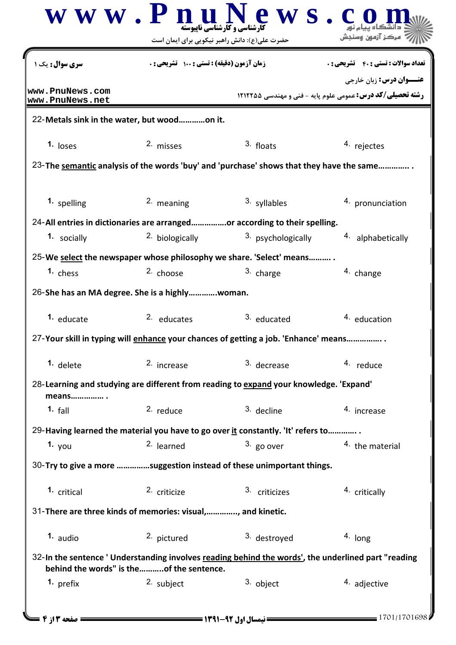|                                                             |                                              | حضرت علی(ع): دانش راهبر نیکویی برای ایمان است                                                      | مركز آزمون وسنجش                                                                                     |
|-------------------------------------------------------------|----------------------------------------------|----------------------------------------------------------------------------------------------------|------------------------------------------------------------------------------------------------------|
| <b>سری سوال :</b> یک ۱                                      | زمان آزمون (دقیقه) : تستی : 100 تشریحی : 0   |                                                                                                    | <b>تعداد سوالات : تستي : 40 ٪ تشريحي : .</b>                                                         |
| www.PnuNews.com<br>www.PnuNews.net                          |                                              |                                                                                                    | <b>عنـــوان درس:</b> زبان خارجي<br><b>رشته تحصیلی/کد درس:</b> عمومی علوم پایه - فنی و مهندسی ۱۲۱۲۲۵۵ |
| 22-Metals sink in the water, but woodon it.                 |                                              |                                                                                                    |                                                                                                      |
| 1. $loss$                                                   | 2. misses                                    | $3.$ floats                                                                                        | 4. rejectes                                                                                          |
|                                                             |                                              | 23-The semantic analysis of the words 'buy' and 'purchase' shows that they have the same           |                                                                                                      |
| 1. spelling                                                 | 2. meaning                                   | 3. syllables                                                                                       | 4. pronunciation                                                                                     |
|                                                             |                                              | 24-All entries in dictionaries are arrangedor according to their spelling.                         |                                                                                                      |
| 1. socially                                                 | <sup>2</sup> biologically                    | <sup>3</sup> psychologically                                                                       | 4. alphabetically                                                                                    |
|                                                             |                                              | 25-We select the newspaper whose philosophy we share. 'Select' means                               |                                                                                                      |
| 1. chess                                                    | <sup>2.</sup> choose                         | 3. charge                                                                                          | 4. change                                                                                            |
| 26-She has an MA degree. She is a highlywoman.              |                                              |                                                                                                    |                                                                                                      |
| 1. educate                                                  | 2. educates                                  | <sup>3.</sup> educated                                                                             | 4. education                                                                                         |
|                                                             |                                              | 27-Your skill in typing will enhance your chances of getting a job. 'Enhance' means                |                                                                                                      |
| 1. delete                                                   | 2. increase                                  | 3. decrease                                                                                        | 4. reduce                                                                                            |
| means .                                                     |                                              | 28-Learning and studying are different from reading to expand your knowledge. 'Expand'             |                                                                                                      |
| 1. $fall$                                                   | $2.$ reduce                                  | 3. decline                                                                                         | 4. increase                                                                                          |
|                                                             |                                              | 29-Having learned the material you have to go over it constantly. 'It' refers to                   |                                                                                                      |
| 1. $you$                                                    | $2.$ learned                                 | $3.$ go over                                                                                       | <sup>4</sup> the material                                                                            |
|                                                             |                                              | 30-Try to give a more suggestion instead of these unimportant things.                              |                                                                                                      |
| 1. critical                                                 | 2. criticize                                 | 3. criticizes                                                                                      | 4. critically                                                                                        |
| 31-There are three kinds of memories: visual,, and kinetic. |                                              |                                                                                                    |                                                                                                      |
| $1.$ audio                                                  | 2. pictured                                  | 3. destroyed                                                                                       | 4. long                                                                                              |
|                                                             | behind the words" is the    of the sentence. | 32-In the sentence 'Understanding involves reading behind the words', the underlined part "reading |                                                                                                      |
| 1. prefix                                                   | 2. subject                                   | 3. object                                                                                          | 4. adjective                                                                                         |